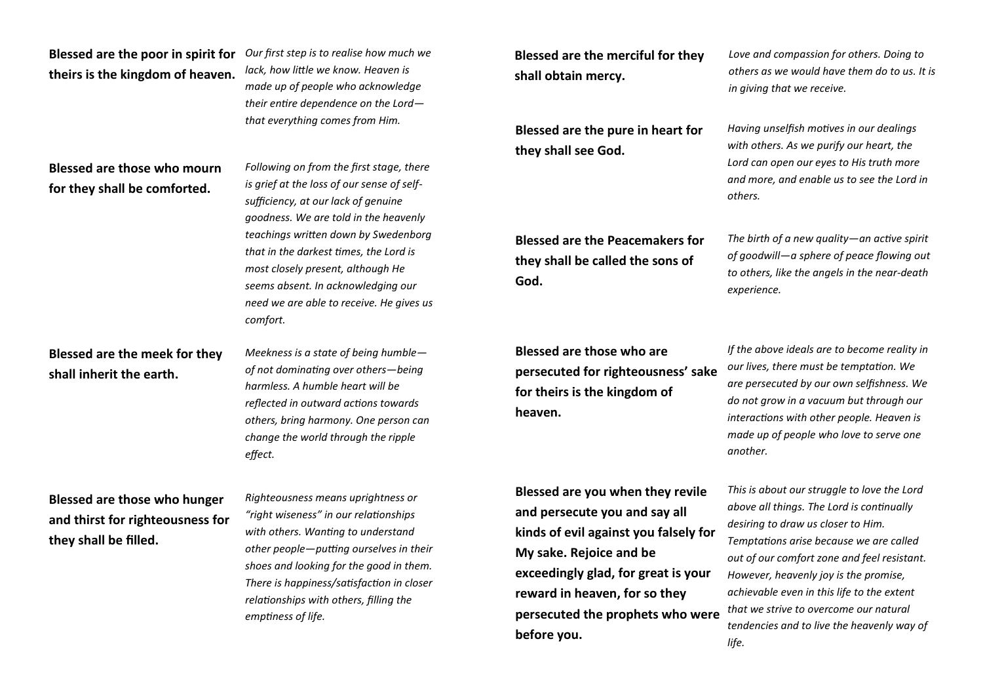## **Blessed are the poor in spirit for theirs is the kingdom of heaven.**

*Our first step is to realise how much we lack, how little we know. Heaven is made up of people who acknowledge their entire dependence on the Lord that everything comes from Him.*

*Following on from the first stage, there is grief at the loss of our sense of selfsufficiency, at our lack of genuine goodness. We are told in the heavenly teachings written down by Swedenborg that in the darkest times, the Lord is most closely present, although He seems absent. In acknowledging our need we are able to receive. He gives us* 

## **Blessed are those who mourn for they shall be comforted.**

## **Blessed are the meek for they shall inherit the earth.**

*Meekness is a state of being humble of not dominating over others—being harmless. A humble heart will be reflected in outward actions towards others, bring harmony. One person can change the world through the ripple effect.*

*comfort.*

**Blessed are those who hunger and thirst for righteousness for they shall be filled.**

*Righteousness means uprightness or "right wiseness" in our relationships with others. Wanting to understand other people—putting ourselves in their shoes and looking for the good in them. There is happiness/satisfaction in closer relationships with others, filling the emptiness of life.*

**Blessed are the merciful for they shall obtain mercy.**

**Blessed are the pure in heart for they shall see God.**

**Blessed are the Peacemakers for they shall be called the sons of God.**

**Blessed are those who are persecuted for righteousness' sake for theirs is the kingdom of heaven.**

**Blessed are you when they revile and persecute you and say all kinds of evil against you falsely for My sake. Rejoice and be exceedingly glad, for great is your reward in heaven, for so they persecuted the prophets who were before you.**

*Love and compassion for others. Doing to others as we would have them do to us. It is in giving that we receive.*

*Having unselfish motives in our dealings with others. As we purify our heart, the Lord can open our eyes to His truth more and more, and enable us to see the Lord in others.*

*The birth of a new quality—an active spirit of goodwill—a sphere of peace flowing out to others, like the angels in the near-death experience.*

*If the above ideals are to become reality in our lives, there must be temptation. We are persecuted by our own selfishness. We do not grow in a vacuum but through our interactions with other people. Heaven is made up of people who love to serve one another.*

*This is about our struggle to love the Lord above all things. The Lord is continually desiring to draw us closer to Him. Temptations arise because we are called out of our comfort zone and feel resistant. However, heavenly joy is the promise, achievable even in this life to the extent that we strive to overcome our natural tendencies and to live the heavenly way of life.*